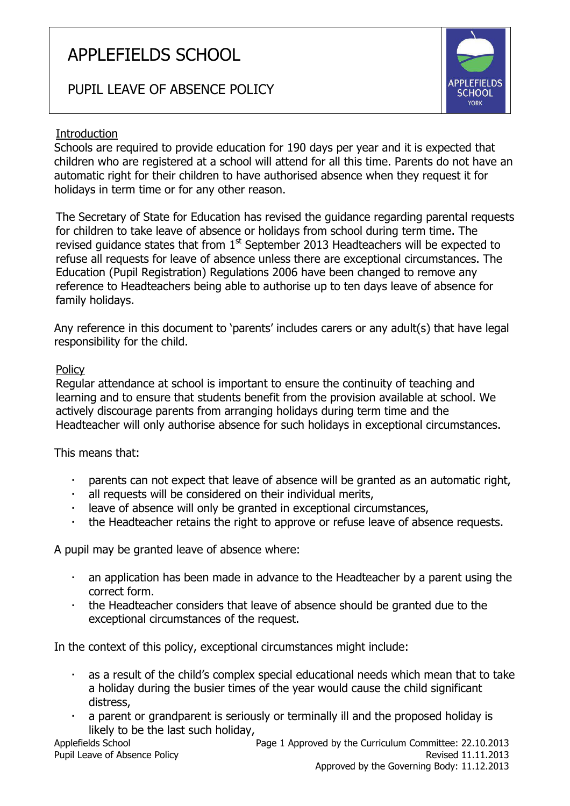# APPLEFIELDS SCHOOL

## PUPIL LEAVE OF ABSENCE POLICY



#### **Introduction**

Schools are required to provide education for 190 days per year and it is expected that children who are registered at a school will attend for all this time. Parents do not have an automatic right for their children to have authorised absence when they request it for holidays in term time or for any other reason.

The Secretary of State for Education has revised the guidance regarding parental requests for children to take leave of absence or holidays from school during term time. The revised quidance states that from  $1<sup>st</sup>$  September 2013 Headteachers will be expected to refuse all requests for leave of absence unless there are exceptional circumstances. The Education (Pupil Registration) Regulations 2006 have been changed to remove any reference to Headteachers being able to authorise up to ten days leave of absence for family holidays.

Any reference in this document to 'parents' includes carers or any adult(s) that have legal responsibility for the child.

#### **Policy**

Regular attendance at school is important to ensure the continuity of teaching and learning and to ensure that students benefit from the provision available at school. We actively discourage parents from arranging holidays during term time and the Headteacher will only authorise absence for such holidays in exceptional circumstances.

This means that:

- parents can not expect that leave of absence will be granted as an automatic right,
- all requests will be considered on their individual merits,
- leave of absence will only be granted in exceptional circumstances,
- the Headteacher retains the right to approve or refuse leave of absence requests.

A pupil may be granted leave of absence where:

- an application has been made in advance to the Headteacher by a parent using the correct form.
- the Headteacher considers that leave of absence should be granted due to the exceptional circumstances of the request.

In the context of this policy, exceptional circumstances might include:

- as a result of the child's complex special educational needs which mean that to take a holiday during the busier times of the year would cause the child significant distress,
- a parent or grandparent is seriously or terminally ill and the proposed holiday is likely to be the last such holiday,